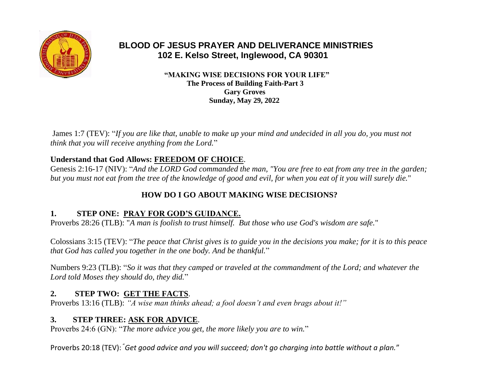

# **BLOOD OF JESUS PRAYER AND DELIVERANCE MINISTRIES 102 E. Kelso Street, Inglewood, CA 90301**

 **"MAKING WISE DECISIONS FOR YOUR LIFE" The Process of Building Faith-Part 3 Gary Groves Sunday, May 29, 2022**

James 1:7 (TEV): "*If you are like that, unable to make up your mind and undecided in all you do, you must not think that you will receive anything from the Lord.*"

### **Understand that God Allows: FREEDOM OF CHOICE**.

Genesis 2:16-17 (NIV): "*And the LORD God commanded the man, "You are free to eat from any tree in the garden; but you must not eat from the tree of the knowledge of good and evil, for when you eat of it you will surely die.*"

## **HOW DO I GO ABOUT MAKING WISE DECISIONS?**

### **1. STEP ONE: PRAY FOR GOD'S GUIDANCE.**

Proverbs 28:26 (TLB): "*A man is foolish to trust himself. But those who use God's wisdom are safe.*"

Colossians 3:15 (TEV): "*The peace that Christ gives is to guide you in the decisions you make; for it is to this peace that God has called you together in the one body. And be thankful.*"

Numbers 9:23 (TLB): "*So it was that they camped or traveled at the commandment of the Lord; and whatever the Lord told Moses they should do, they did.*"

### **2. STEP TWO: GET THE FACTS**.

Proverbs 13:16 (TLB): *"A wise man thinks ahead; a fool doesn't and even brags about it!"*

### **3. STEP THREE: ASK FOR ADVICE**.

Proverbs 24:6 (GN): "*The more advice you get, the more likely you are to win.*"

Proverbs 20:18 (TEV): "*Get good advice and you will succeed; don't go charging into battle without a plan.*"